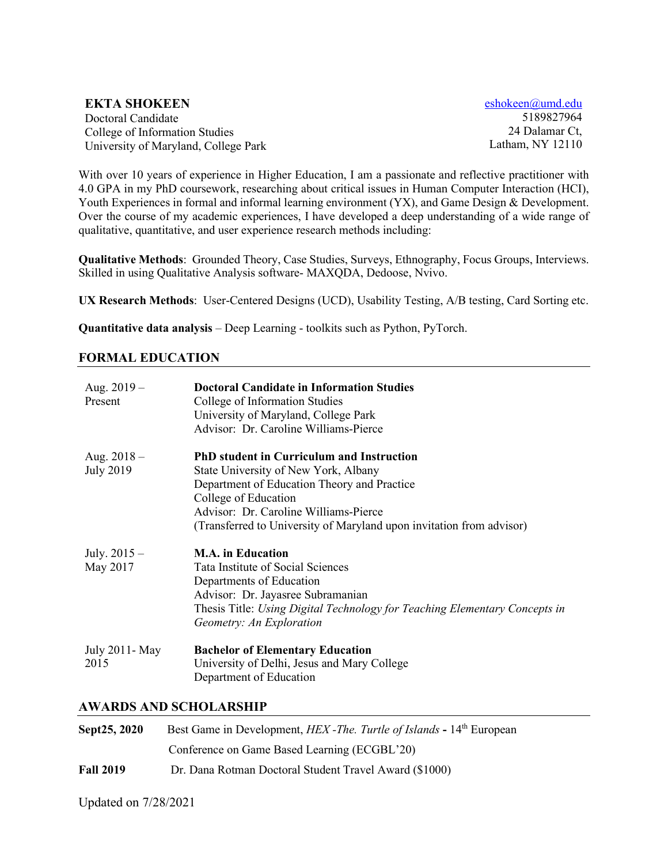#### **EKTA SHOKEEN**

Doctoral Candidate College of Information Studies University of Maryland, College Park [eshokeen@umd.edu](mailto:eshokeen@umd.edu) 5189827964 24 Dalamar Ct, Latham, NY 12110

With over 10 years of experience in Higher Education, I am a passionate and reflective practitioner with 4.0 GPA in my PhD coursework, researching about critical issues in Human Computer Interaction (HCI), Youth Experiences in formal and informal learning environment (YX), and Game Design & Development. Over the course of my academic experiences, I have developed a deep understanding of a wide range of qualitative, quantitative, and user experience research methods including:

**Qualitative Methods**: Grounded Theory, Case Studies, Surveys, Ethnography, Focus Groups, Interviews. Skilled in using Qualitative Analysis software- MAXQDA, Dedoose, Nvivo.

**UX Research Methods**: User-Centered Designs (UCD), Usability Testing, A/B testing, Card Sorting etc.

**Quantitative data analysis** – Deep Learning - toolkits such as Python, PyTorch.

### **FORMAL EDUCATION**

| Aug. $2019 -$<br>Present          | <b>Doctoral Candidate in Information Studies</b><br>College of Information Studies<br>University of Maryland, College Park<br>Advisor: Dr. Caroline Williams-Pierce                                                                                                              |
|-----------------------------------|----------------------------------------------------------------------------------------------------------------------------------------------------------------------------------------------------------------------------------------------------------------------------------|
| Aug. $2018 -$<br><b>July 2019</b> | <b>PhD</b> student in Curriculum and Instruction<br>State University of New York, Albany<br>Department of Education Theory and Practice<br>College of Education<br>Advisor: Dr. Caroline Williams-Pierce<br>(Transferred to University of Maryland upon invitation from advisor) |
| July. $2015 -$<br>May 2017        | <b>M.A.</b> in Education<br>Tata Institute of Social Sciences<br>Departments of Education<br>Advisor: Dr. Jayasree Subramanian<br>Thesis Title: Using Digital Technology for Teaching Elementary Concepts in<br>Geometry: An Exploration                                         |
| July 2011- May<br>2015            | <b>Bachelor of Elementary Education</b><br>University of Delhi, Jesus and Mary College<br>Department of Education                                                                                                                                                                |

#### **AWARDS AND SCHOLARSHIP**

| Sept25, 2020     | Best Game in Development, <i>HEX</i> -The. Turtle of Islands - 14 <sup>th</sup> European |
|------------------|------------------------------------------------------------------------------------------|
|                  | Conference on Game Based Learning (ECGBL'20)                                             |
| <b>Fall 2019</b> | Dr. Dana Rotman Doctoral Student Travel Award (\$1000)                                   |

Updated on 7/28/2021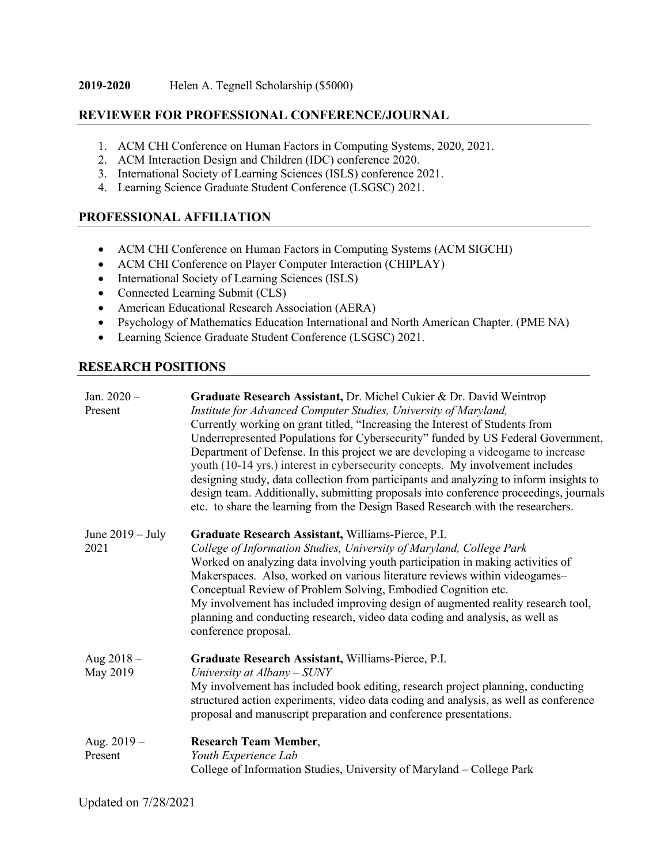### **REVIEWER FOR PROFESSIONAL CONFERENCE/JOURNAL**

- 1. ACM CHI Conference on Human Factors in Computing Systems, 2020, 2021.
- 2. ACM Interaction Design and Children (IDC) conference 2020.
- 3. International Society of Learning Sciences (ISLS) conference 2021.
- 4. Learning Science Graduate Student Conference (LSGSC) 2021.

### **PROFESSIONAL AFFILIATION**

- ACM CHI Conference on Human Factors in Computing Systems (ACM SIGCHI)
- ACM CHI Conference on Player Computer Interaction (CHIPLAY)
- International Society of Learning Sciences (ISLS)
- Connected Learning Submit (CLS)
- American Educational Research Association (AERA)
- Psychology of Mathematics Education International and North American Chapter. (PME NA)
- Learning Science Graduate Student Conference (LSGSC) 2021.

## **RESEARCH POSITIONS**

| Jan. $2020 -$<br>Present   | Graduate Research Assistant, Dr. Michel Cukier & Dr. David Weintrop<br>Institute for Advanced Computer Studies, University of Maryland,<br>Currently working on grant titled, "Increasing the Interest of Students from<br>Underrepresented Populations for Cybersecurity" funded by US Federal Government,<br>Department of Defense. In this project we are developing a videogame to increase<br>youth (10-14 yrs.) interest in cybersecurity concepts. My involvement includes<br>designing study, data collection from participants and analyzing to inform insights to<br>design team. Additionally, submitting proposals into conference proceedings, journals<br>etc. to share the learning from the Design Based Research with the researchers. |
|----------------------------|---------------------------------------------------------------------------------------------------------------------------------------------------------------------------------------------------------------------------------------------------------------------------------------------------------------------------------------------------------------------------------------------------------------------------------------------------------------------------------------------------------------------------------------------------------------------------------------------------------------------------------------------------------------------------------------------------------------------------------------------------------|
| June $2019 - July$<br>2021 | Graduate Research Assistant, Williams-Pierce, P.I.<br>College of Information Studies, University of Maryland, College Park<br>Worked on analyzing data involving youth participation in making activities of<br>Makerspaces. Also, worked on various literature reviews within videogames-<br>Conceptual Review of Problem Solving, Embodied Cognition etc.<br>My involvement has included improving design of augmented reality research tool,<br>planning and conducting research, video data coding and analysis, as well as<br>conference proposal.                                                                                                                                                                                                 |
| Aug $2018 -$<br>May 2019   | Graduate Research Assistant, Williams-Pierce, P.I.<br>University at $Albany-SUNY$<br>My involvement has included book editing, research project planning, conducting<br>structured action experiments, video data coding and analysis, as well as conference<br>proposal and manuscript preparation and conference presentations.                                                                                                                                                                                                                                                                                                                                                                                                                       |
| Aug. $2019-$<br>Present    | <b>Research Team Member,</b><br>Youth Experience Lab<br>College of Information Studies, University of Maryland – College Park                                                                                                                                                                                                                                                                                                                                                                                                                                                                                                                                                                                                                           |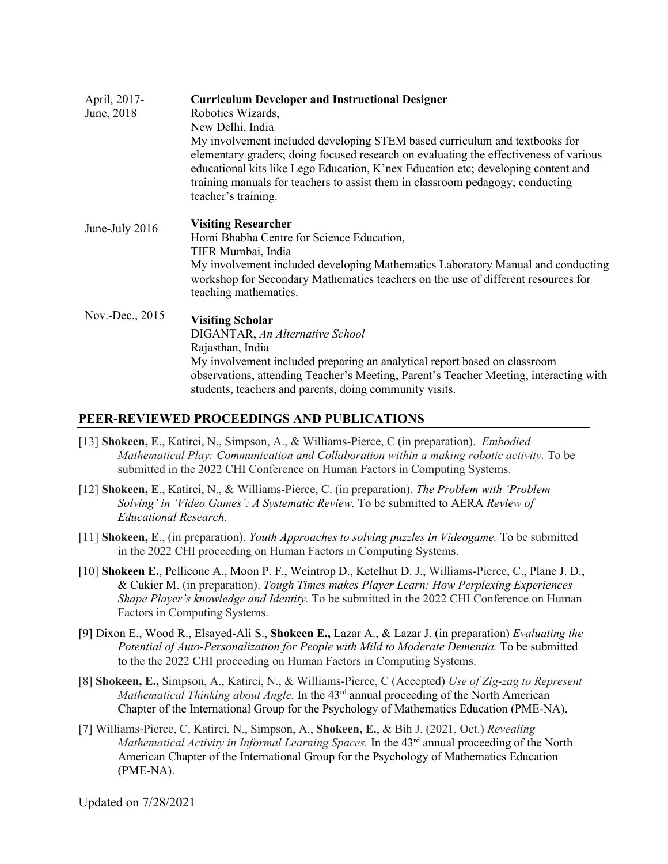| April, 2017-<br>June, 2018 | <b>Curriculum Developer and Instructional Designer</b><br>Robotics Wizards,<br>New Delhi, India<br>My involvement included developing STEM based curriculum and textbooks for<br>elementary graders; doing focused research on evaluating the effectiveness of various<br>educational kits like Lego Education, K'nex Education etc; developing content and<br>training manuals for teachers to assist them in classroom pedagogy; conducting<br>teacher's training. |
|----------------------------|----------------------------------------------------------------------------------------------------------------------------------------------------------------------------------------------------------------------------------------------------------------------------------------------------------------------------------------------------------------------------------------------------------------------------------------------------------------------|
| June-July 2016             | <b>Visiting Researcher</b><br>Homi Bhabha Centre for Science Education,<br>TIFR Mumbai, India<br>My involvement included developing Mathematics Laboratory Manual and conducting<br>workshop for Secondary Mathematics teachers on the use of different resources for<br>teaching mathematics.                                                                                                                                                                       |
| Nov.-Dec., 2015            | <b>Visiting Scholar</b><br>DIGANTAR, An Alternative School<br>Rajasthan, India<br>My involvement included preparing an analytical report based on classroom<br>observations, attending Teacher's Meeting, Parent's Teacher Meeting, interacting with<br>students, teachers and parents, doing community visits.                                                                                                                                                      |

### **PEER-REVIEWED PROCEEDINGS AND PUBLICATIONS**

- [13] **Shokeen, E**., Katirci, N., Simpson, A., & Williams-Pierce, C (in preparation). *Embodied Mathematical Play: Communication and Collaboration within a making robotic activity.* To be submitted in the 2022 CHI Conference on Human Factors in Computing Systems.
- [12] **Shokeen, E**., Katirci, N., & Williams-Pierce, C. (in preparation). *The Problem with 'Problem Solving' in 'Video Games': A Systematic Review.* To be submitted to AERA *Review of Educational Research.*
- [11] **Shokeen, E**., (in preparation). *Youth Approaches to solving puzzles in Videogame.* To be submitted in the 2022 CHI proceeding on Human Factors in Computing Systems.
- [10] **Shokeen E.**, Pellicone A., Moon P. F., Weintrop D., Ketelhut D. J., Williams-Pierce, C., Plane J. D., & Cukier M. (in preparation). *Tough Times makes Player Learn: How Perplexing Experiences Shape Player's knowledge and Identity.* To be submitted in the 2022 CHI Conference on Human Factors in Computing Systems.
- [9] Dixon E., Wood R., Elsayed-Ali S., **Shokeen E.,** Lazar A., & Lazar J. (in preparation) *Evaluating the*  Potential of Auto-Personalization for People with Mild to Moderate Dementia. To be submitted to the the 2022 CHI proceeding on Human Factors in Computing Systems.
- [8] **Shokeen, E.,** Simpson, A., Katirci, N., & Williams-Pierce, C (Accepted) *Use of Zig-zag to Represent Mathematical Thinking about Angle.* In the 43<sup>rd</sup> annual proceeding of the North American Chapter of the International Group for the Psychology of Mathematics Education (PME-NA).
- [7] Williams-Pierce, C, Katirci, N., Simpson, A., **Shokeen, E.**, & Bih J. (2021, Oct.) *Revealing Mathematical Activity in Informal Learning Spaces.* In the 43<sup>rd</sup> annual proceeding of the North American Chapter of the International Group for the Psychology of Mathematics Education (PME-NA).

Updated on 7/28/2021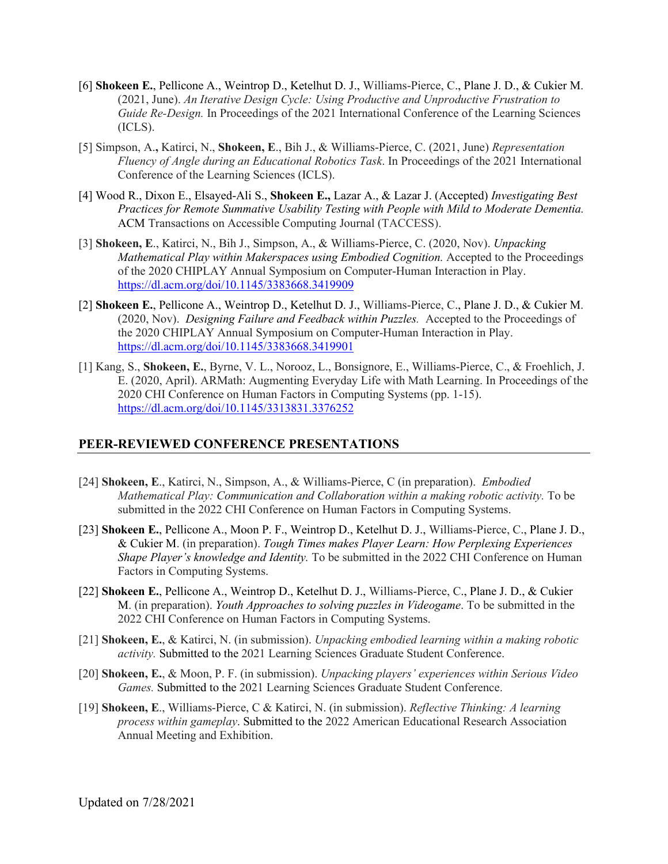- [6] **Shokeen E.**, Pellicone A., Weintrop D., Ketelhut D. J., Williams-Pierce, C., Plane J. D., & Cukier M. (2021, June). *An Iterative Design Cycle: Using Productive and Unproductive Frustration to Guide Re-Design.* In Proceedings of the 2021 International Conference of the Learning Sciences (ICLS).
- [5] Simpson, A.**,** Katirci, N., **Shokeen, E**., Bih J., & Williams-Pierce, C. (2021, June) *Representation Fluency of Angle during an Educational Robotics Task*. In Proceedings of the 2021 International Conference of the Learning Sciences (ICLS).
- [4] Wood R., Dixon E., Elsayed-Ali S., **Shokeen E.,** Lazar A., & Lazar J. (Accepted) *Investigating Best Practices for Remote Summative Usability Testing with People with Mild to Moderate Dementia.* ACM Transactions on Accessible Computing Journal (TACCESS).
- [3] **Shokeen, E**., Katirci, N., Bih J., Simpson, A., & Williams-Pierce, C. (2020, Nov). *Unpacking Mathematical Play within Makerspaces using Embodied Cognition.* Accepted to the Proceedings of the 2020 CHIPLAY Annual Symposium on Computer-Human Interaction in Play. <https://dl.acm.org/doi/10.1145/3383668.3419909>
- [2] **Shokeen E.**, Pellicone A., Weintrop D., Ketelhut D. J., Williams-Pierce, C., Plane J. D., & Cukier M. (2020, Nov). *Designing Failure and Feedback within Puzzles.* Accepted to the Proceedings of the 2020 CHIPLAY Annual Symposium on Computer-Human Interaction in Play. <https://dl.acm.org/doi/10.1145/3383668.3419901>
- [1] Kang, S., **Shokeen, E.**, Byrne, V. L., Norooz, L., Bonsignore, E., Williams-Pierce, C., & Froehlich, J. E. (2020, April). ARMath: Augmenting Everyday Life with Math Learning. In Proceedings of the 2020 CHI Conference on Human Factors in Computing Systems (pp. 1-15). <https://dl.acm.org/doi/10.1145/3313831.3376252>

### **PEER-REVIEWED CONFERENCE PRESENTATIONS**

- [24] **Shokeen, E**., Katirci, N., Simpson, A., & Williams-Pierce, C (in preparation). *Embodied Mathematical Play: Communication and Collaboration within a making robotic activity.* To be submitted in the 2022 CHI Conference on Human Factors in Computing Systems.
- [23] **Shokeen E.**, Pellicone A., Moon P. F., Weintrop D., Ketelhut D. J., Williams-Pierce, C., Plane J. D., & Cukier M. (in preparation). *Tough Times makes Player Learn: How Perplexing Experiences Shape Player's knowledge and Identity.* To be submitted in the 2022 CHI Conference on Human Factors in Computing Systems.
- [22] **Shokeen E.**, Pellicone A., Weintrop D., Ketelhut D. J., Williams-Pierce, C., Plane J. D., & Cukier M. (in preparation). *Youth Approaches to solving puzzles in Videogame*. To be submitted in the 2022 CHI Conference on Human Factors in Computing Systems.
- [21] **Shokeen, E.**, & Katirci, N. (in submission). *Unpacking embodied learning within a making robotic activity.* Submitted to the 2021 Learning Sciences Graduate Student Conference.
- [20] **Shokeen, E.**, & Moon, P. F. (in submission). *Unpacking players' experiences within Serious Video Games.* Submitted to the 2021 Learning Sciences Graduate Student Conference.
- [19] **Shokeen, E**., Williams-Pierce, C & Katirci, N. (in submission). *Reflective Thinking: A learning process within gameplay*. Submitted to the 2022 American Educational Research Association Annual Meeting and Exhibition.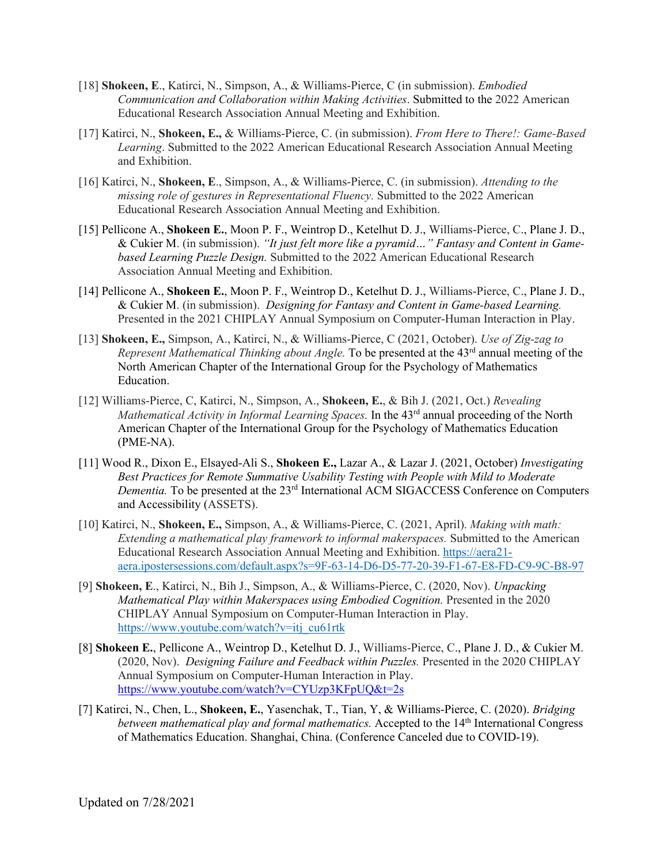- [18] **Shokeen, E**., Katirci, N., Simpson, A., & Williams-Pierce, C (in submission). *Embodied Communication and Collaboration within Making Activities*. Submitted to the 2022 American Educational Research Association Annual Meeting and Exhibition.
- [17] Katirci, N., **Shokeen, E.,** & Williams-Pierce, C. (in submission). *From Here to There!: Game-Based Learning*. Submitted to the 2022 American Educational Research Association Annual Meeting and Exhibition.
- [16] Katirci, N., **Shokeen, E**., Simpson, A., & Williams-Pierce, C. (in submission). *Attending to the missing role of gestures in Representational Fluency.* Submitted to the 2022 American Educational Research Association Annual Meeting and Exhibition.
- [15] Pellicone A., **Shokeen E.**, Moon P. F., Weintrop D., Ketelhut D. J., Williams-Pierce, C., Plane J. D., & Cukier M. (in submission). *"It just felt more like a pyramid…" Fantasy and Content in Gamebased Learning Puzzle Design.* Submitted to the 2022 American Educational Research Association Annual Meeting and Exhibition.
- [14] Pellicone A., **Shokeen E.**, Moon P. F., Weintrop D., Ketelhut D. J., Williams-Pierce, C., Plane J. D., & Cukier M. (in submission). *Designing for Fantasy and Content in Game-based Learning.* Presented in the 2021 CHIPLAY Annual Symposium on Computer-Human Interaction in Play.
- [13] **Shokeen, E.,** Simpson, A., Katirci, N., & Williams-Pierce, C (2021, October). *Use of Zig-zag to Represent Mathematical Thinking about Angle.* To be presented at the 43<sup>rd</sup> annual meeting of the North American Chapter of the International Group for the Psychology of Mathematics Education.
- [12] Williams-Pierce, C, Katirci, N., Simpson, A., **Shokeen, E.**, & Bih J. (2021, Oct.) *Revealing Mathematical Activity in Informal Learning Spaces.* In the 43<sup>rd</sup> annual proceeding of the North American Chapter of the International Group for the Psychology of Mathematics Education (PME-NA).
- [11] Wood R., Dixon E., Elsayed-Ali S., **Shokeen E.,** Lazar A., & Lazar J. (2021, October) *Investigating Best Practices for Remote Summative Usability Testing with People with Mild to Moderate Dementia.* To be presented at the 23rd International ACM SIGACCESS Conference on Computers and Accessibility (ASSETS).
- [10] Katirci, N., **Shokeen, E.,** Simpson, A., & Williams-Pierce, C. (2021, April). *Making with math: Extending a mathematical play framework to informal makerspaces.* Submitted to the American Educational Research Association Annual Meeting and Exhibition. [https://aera21](https://aera21-aera.ipostersessions.com/default.aspx?s=9F-63-14-D6-D5-77-20-39-F1-67-E8-FD-C9-9C-B8-97) [aera.ipostersessions.com/default.aspx?s=9F-63-14-D6-D5-77-20-39-F1-67-E8-FD-C9-9C-B8-97](https://aera21-aera.ipostersessions.com/default.aspx?s=9F-63-14-D6-D5-77-20-39-F1-67-E8-FD-C9-9C-B8-97)
- [9] **Shokeen, E**., Katirci, N., Bih J., Simpson, A., & Williams-Pierce, C. (2020, Nov). *Unpacking Mathematical Play within Makerspaces using Embodied Cognition.* Presented in the 2020 CHIPLAY Annual Symposium on Computer-Human Interaction in Play. [https://www.youtube.com/watch?v=itj\\_cu61rtk](https://www.youtube.com/watch?v=itj_cu61rtk)
- [8] **Shokeen E.**, Pellicone A., Weintrop D., Ketelhut D. J., Williams-Pierce, C., Plane J. D., & Cukier M. (2020, Nov). *Designing Failure and Feedback within Puzzles.* Presented in the 2020 CHIPLAY Annual Symposium on Computer-Human Interaction in Play. <https://www.youtube.com/watch?v=CYUzp3KFpUQ&t=2s>
- [7] Katirci, N., Chen, L., **Shokeen, E.**, Yasenchak, T., Tian, Y, & Williams-Pierce, C. (2020). *Bridging between mathematical play and formal mathematics.* Accepted to the 14<sup>th</sup> International Congress of Mathematics Education. Shanghai, China. (Conference Canceled due to COVID-19).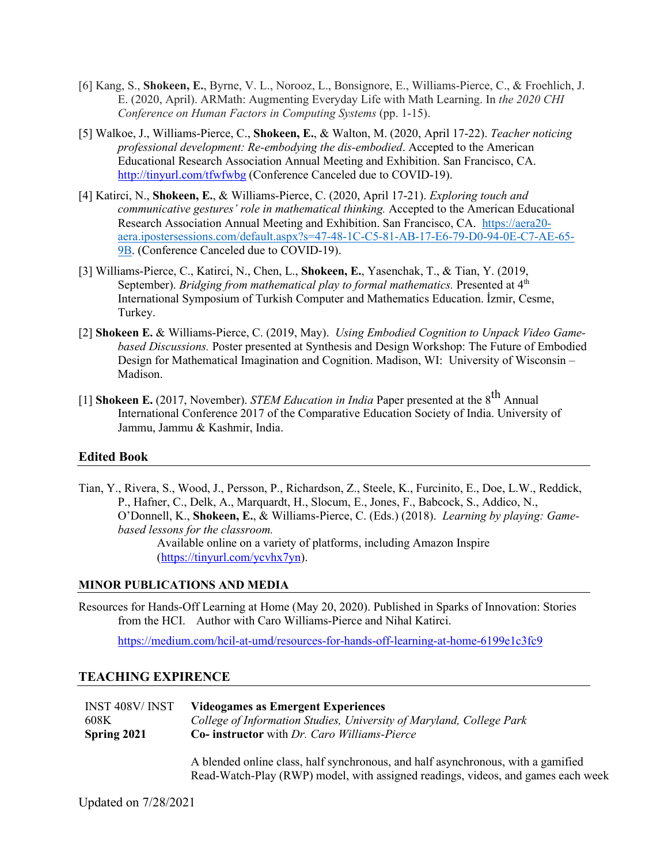- [6] Kang, S., **Shokeen, E.**, Byrne, V. L., Norooz, L., Bonsignore, E., Williams-Pierce, C., & Froehlich, J. E. (2020, April). ARMath: Augmenting Everyday Life with Math Learning. In *the 2020 CHI Conference on Human Factors in Computing Systems* (pp. 1-15).
- [5] Walkoe, J., Williams-Pierce, C., **Shokeen, E.**, & Walton, M. (2020, April 17-22). *Teacher noticing professional development: Re-embodying the dis-embodied*. Accepted to the American Educational Research Association Annual Meeting and Exhibition. San Francisco, CA. <http://tinyurl.com/tfwfwbg> (Conference Canceled due to COVID-19).
- [4] Katirci, N., **Shokeen, E.**, & Williams-Pierce, C. (2020, April 17-21). *Exploring touch and communicative gestures' role in mathematical thinking.* Accepted to the American Educational Research Association Annual Meeting and Exhibition. San Francisco, CA. [https://aera20](https://aera20-aera.ipostersessions.com/default.aspx?s=47-48-1C-C5-81-AB-17-E6-79-D0-94-0E-C7-AE-65-9B) [aera.ipostersessions.com/default.aspx?s=47-48-1C-C5-81-AB-17-E6-79-D0-94-0E-C7-AE-65-](https://aera20-aera.ipostersessions.com/default.aspx?s=47-48-1C-C5-81-AB-17-E6-79-D0-94-0E-C7-AE-65-9B) [9B.](https://aera20-aera.ipostersessions.com/default.aspx?s=47-48-1C-C5-81-AB-17-E6-79-D0-94-0E-C7-AE-65-9B) (Conference Canceled due to COVID-19).
- [3] Williams-Pierce, C., Katirci, N., Chen, L., **Shokeen, E.**, Yasenchak, T., & Tian, Y. (2019, September). *Bridging from mathematical play to formal mathematics*. Presented at 4<sup>th</sup> International Symposium of Turkish Computer and Mathematics Education. İzmir, Cesme, Turkey.
- [2] **Shokeen E.** & Williams-Pierce, C. (2019, May). *Using Embodied Cognition to Unpack Video Gamebased Discussions.* Poster presented at Synthesis and Design Workshop: The Future of Embodied Design for Mathematical Imagination and Cognition. Madison, WI: University of Wisconsin – Madison.
- [1] **Shokeen E.** (2017, November). *STEM Education in India* Paper presented at the 8<sup>th</sup> Annual International Conference 2017 of the Comparative Education Society of India. University of Jammu, Jammu & Kashmir, India.

#### **Edited Book**

Tian, Y., Rivera, S., Wood, J., Persson, P., Richardson, Z., Steele, K., Furcinito, E., Doe, L.W., Reddick, P., Hafner, C., Delk, A., Marquardt, H., Slocum, E., Jones, F., Babcock, S., Addico, N., O'Donnell, K., **Shokeen, E.**, & Williams-Pierce, C. (Eds.) (2018). *Learning by playing: Gamebased lessons for the classroom.* Available online on a variety of platforms, including Amazon Inspire

[\(https://tinyurl.com/ycvhx7yn\)](https://tinyurl.com/ycvhx7yn).

#### **MINOR PUBLICATIONS AND MEDIA**

Resources for Hands-Off Learning at Home (May 20, 2020). Published in Sparks of Innovation: Stories from the HCI. Author with Caro Williams-Pierce and Nihal Katirci.

<https://medium.com/hcil-at-umd/resources-for-hands-off-learning-at-home-6199e1c3fc9>

#### **TEACHING EXPIRENCE**

| INST 408V/INST | <b>Videogames as Emergent Experiences</b>                            |
|----------------|----------------------------------------------------------------------|
| 608K           | College of Information Studies, University of Maryland, College Park |
| Spring 2021    | <b>Co-</b> instructor with <i>Dr. Caro Williams-Pierce</i>           |
|                |                                                                      |

A blended online class, half synchronous, and half asynchronous, with a gamified Read-Watch-Play (RWP) model, with assigned readings, videos, and games each week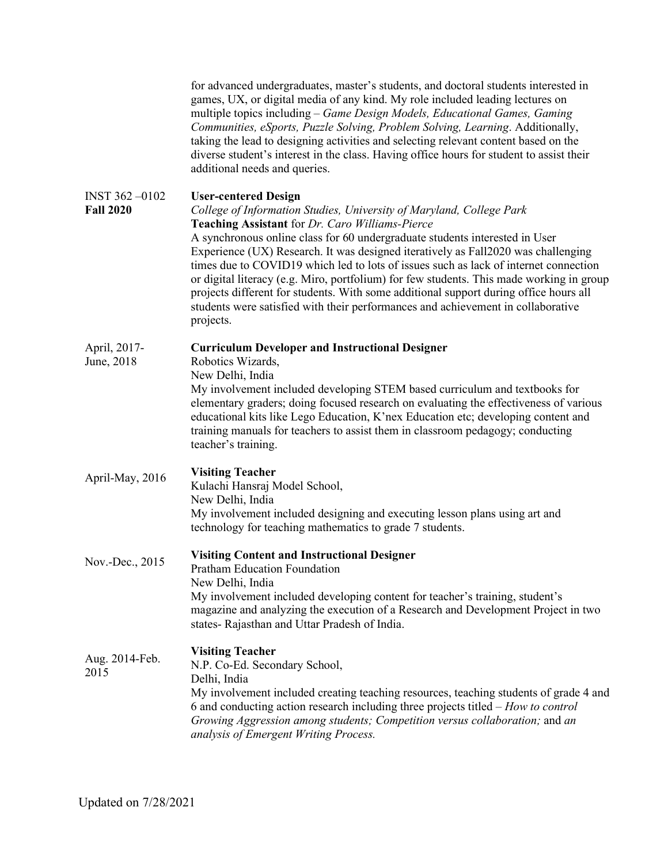|                                   | for advanced undergraduates, master's students, and doctoral students interested in<br>games, UX, or digital media of any kind. My role included leading lectures on<br>multiple topics including – Game Design Models, Educational Games, Gaming<br>Communities, eSports, Puzzle Solving, Problem Solving, Learning. Additionally,<br>taking the lead to designing activities and selecting relevant content based on the<br>diverse student's interest in the class. Having office hours for student to assist their<br>additional needs and queries.                                                                                                                                                  |
|-----------------------------------|----------------------------------------------------------------------------------------------------------------------------------------------------------------------------------------------------------------------------------------------------------------------------------------------------------------------------------------------------------------------------------------------------------------------------------------------------------------------------------------------------------------------------------------------------------------------------------------------------------------------------------------------------------------------------------------------------------|
| INST 362-0102<br><b>Fall 2020</b> | <b>User-centered Design</b><br>College of Information Studies, University of Maryland, College Park<br>Teaching Assistant for Dr. Caro Williams-Pierce<br>A synchronous online class for 60 undergraduate students interested in User<br>Experience (UX) Research. It was designed iteratively as Fall2020 was challenging<br>times due to COVID19 which led to lots of issues such as lack of internet connection<br>or digital literacy (e.g. Miro, portfolium) for few students. This made working in group<br>projects different for students. With some additional support during office hours all<br>students were satisfied with their performances and achievement in collaborative<br>projects. |
| April, 2017-<br>June, 2018        | <b>Curriculum Developer and Instructional Designer</b><br>Robotics Wizards,<br>New Delhi, India<br>My involvement included developing STEM based curriculum and textbooks for<br>elementary graders; doing focused research on evaluating the effectiveness of various<br>educational kits like Lego Education, K'nex Education etc; developing content and<br>training manuals for teachers to assist them in classroom pedagogy; conducting<br>teacher's training.                                                                                                                                                                                                                                     |
| April-May, 2016                   | <b>Visiting Teacher</b><br>Kulachi Hansraj Model School,<br>New Delhi, India<br>My involvement included designing and executing lesson plans using art and<br>technology for teaching mathematics to grade 7 students.                                                                                                                                                                                                                                                                                                                                                                                                                                                                                   |
| Nov.-Dec., 2015                   | <b>Visiting Content and Instructional Designer</b><br><b>Pratham Education Foundation</b><br>New Delhi, India<br>My involvement included developing content for teacher's training, student's<br>magazine and analyzing the execution of a Research and Development Project in two<br>states-Rajasthan and Uttar Pradesh of India.                                                                                                                                                                                                                                                                                                                                                                       |
| Aug. 2014-Feb.<br>2015            | <b>Visiting Teacher</b><br>N.P. Co-Ed. Secondary School,<br>Delhi, India<br>My involvement included creating teaching resources, teaching students of grade 4 and<br>6 and conducting action research including three projects titled – How to control<br>Growing Aggression among students; Competition versus collaboration; and an<br>analysis of Emergent Writing Process.                                                                                                                                                                                                                                                                                                                           |